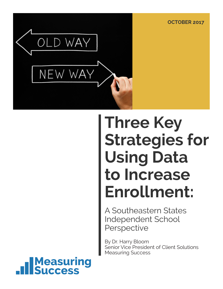

# **Three Key Strategies for Using Data to Increase Enrollment:**

A Southeastern States Independent School Perspective

By Dr. Harry Bloom Senior Vice President of Client Solutions Measuring Success

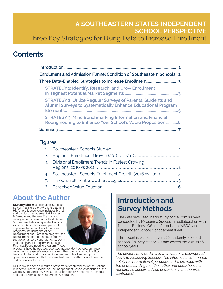## **A SOUTHEASTERN STATES INDEPENDENT SCHOOL PERSPECTIVE** Three Key Strategies for Using Data to Increase Enrollment

# **Contents**

| Introduction                                                                                                                                   |  |  |
|------------------------------------------------------------------------------------------------------------------------------------------------|--|--|
| <b>Enrollment and Admission Funnel Condition of Southeastern Schools2</b>                                                                      |  |  |
|                                                                                                                                                |  |  |
| <b>STRATEGY 1: Identify, Research, and Grow Enrollment</b>                                                                                     |  |  |
| <b>STRATEGY 2: Utilize Regular Surveys of Parents, Students and</b><br><b>Alumni Surveys to Systematically Enhance Educational Program</b><br> |  |  |
| <b>STRATEGY 3: Mine Benchmarking Information and Financial</b><br>Reengineering to Enhance Your School's Value Proposition6                    |  |  |
|                                                                                                                                                |  |  |

## **Figures**

| 3. Divisional Enrollment Trends in Fastest Growing        |  |
|-----------------------------------------------------------|--|
| 4. Southeastern Schools Enrollment Growth (2016 vs 2011)3 |  |
|                                                           |  |
|                                                           |  |

# **About the Author**

**Dr. Harry Bloom** is Measuring-Success' Senior Vice President of Client Solutions. His for profit experience includes brand and product management at Procter & Gamble and General Electric and management consulting with McKinsey & Company. In his independent school work, Dr. Bloom has developed and implemented a number of marquee programs, including the Atidenu Recruitment and Retention program, the Recruitment and Retention Academy, the Governance & Fundraising Academy and the Financial Benchmarking and Financial Reengineering program. These



programs have helped well over 100 independent schools enhance revenue, increase efficiency and strengthen their sustainability. Bloom has conducted and published independent school and nonprofit governance research that has identified practices that predict financial and educational success.

Dr. Bloom has been a featured presenter at conferences for the National Business Officers Association, the Independent School Association of the Central States, the New York State Association of Independent Schools, and the California Business Officers Association.

# **Introduction and Survey Methods**

The data sets used in this study come from surveys conducted by Measuring Success in collaboration with National Business Officers Association (NBOA) and Independent School Management (ISM).

This report is based on over 200 randomly selected schoools' survey responses and covers the 2011-2016 school years.

The content provided in this white paper is copyrighted (2017) to Measuring Success. The information is intended solely for informational purposes and is provided with the understanding that the author and publishers are not offering specific advice or services not otherwise contracted.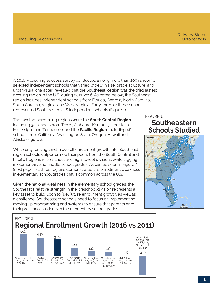A 2016 Measuring Success survey conducted among more than 200 randomly selected independent schools that varied widely in size, grade structure, and urban/rural character, revealed that the **Southeast Region** was the third fastest growing region in the U.S. during 2011-2016. As noted below, the Southeast region includes independent schools from Florida, Georgia, North Carolina, South Carolina, Virginia, and West Virginia. Forty-three of these schools represented Southeastern US independent schools (Figure 1).

The two top performing regions were the **South Central Region**, including 32 schools from Texas, Alabama, Kentucky, Louisiana, Mississippi, and Tennessee, and the **Pacific Region**, including 46 schools from California, Washington State, Oregon, Hawaii and Alaska (Figure 2).

While only ranking third in overall enrollment growth rate, Southeast region schools outperformed their peers from the South Central and Pacific Regions in preschool and high school divisions while lagging in elementary and middle school grades. As can be seen in Figure 3 (next page), all three regions demonstrated the enrollment weakness in elementary school grades that is common across the U.S.

Given the national weakness in the elementary school grades, the Southeast's relative strength in the preschool division represents a key asset to build upon to fuel future enrollment growth, as well as a challenge. Southeastern schools need to focus on implementing moving up programming and systems to ensure that parents enroll their preschool students in the elementary school grades.



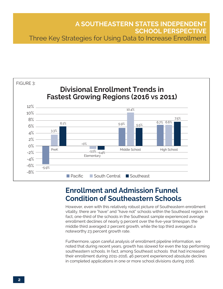## **A SOUTHEASTERN STATES INDEPENDENT SCHOOL PERSPECTIVE** Three Key Strategies for Using Data to Increase Enrollment



## **Enrollment and Admission Funnel Condition of Southeastern Schools**

However, even with this relatively robust picture of Southeastern enrollment vitality, there are "have" and "have not" schools within the Southeast region. In fact, one-third of the schools in the Southeast sample experienced average enrollment declines of nearly 9 percent over the five-year timespan, the middle third averaged 2 percent growth, while the top third averaged a noteworthy 23 percent growth rate.

Furthermore, upon careful analysis of enrollment pipeline information, we noted that during recent years, growth has slowed for even the top performing southeastern schools. In fact, among Southeast schools that had increased their enrollment during 2011-2016, 46 percent experienced absolute declines in completed applications in one or more school divisions during 2016.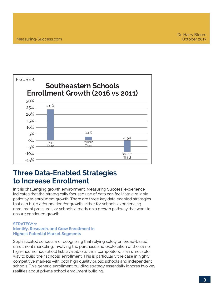

# **Three Data-Enabled Strategies to Increase Enrollment**

In this challenging growth environment, Measuring Success' experience indicates that the strategically focused use of data can facilitate a reliable pathway to enrollment growth. There are three key data enabled strategies that can build a foundation for growth, either for schools experiencing enrollment pressures, or schools already on a growth pathway that want to ensure continued growth.

#### **STRATEGY 1: Identify, Research, and Grow Enrollment in Highest Potential Market Segments**

Sophisticated schools are recognizing that relying solely on broad-based enrollment marketing, involving the purchase and exploitation of the same high-income household lists available to their competitors, is an unreliable way to build their schools' enrollment. This is particularly the case in highly competitive markets with both high quality public schools and independent schools. This generic enrollment building strategy essentially ignores two key realities about private school enrollment building.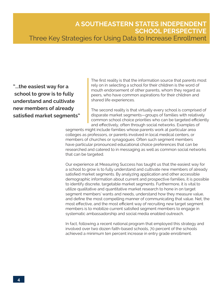## **A SOUTHEASTERN STATES INDEPENDENT SCHOOL PERSPECTIVE** Three Key Strategies for Using Data to Increase Enrollment

**"...the easiest way for a school to grow is to fully understand and cultivate new members of already satisfied market segments"**

The first reality is that the information source that parents most rely on in selecting a school for their children is the word of mouth endorsement of other parents, whom they regard as peers, who have common aspirations for their children and shared life experiences.

The second reality is that virtually every school is comprised of disparate market segments—groups of families with relatively common school choice priorities who can be targeted efficiently and effectively, often through social networks. Examples of

segments might include families whose parents work at particular area colleges as professors, or parents involved in local medical centers, or members of churches or synagogues. Often such segment members have particular pronounced educational choice preferences that can be researched and catered to in messaging as well as common social networks that can be targeted.

Our experience at Measuring Success has taught us that the easiest way for a school to grow is to fully understand and cultivate new members of already satisfied market segments. By analyzing application and other accessible demographic information about current and prospective families, it is possible to identify discrete, targetable market segments. Furthermore, it is vital to utilize qualitative and quantitative market research to hone in on target segment members' wants and needs, understand how they measure value, and define the most compelling manner of communicating that value. Net, the most effective, and the most efficient way of recruiting new target segment members is to mobilize current satisfied segment members to engage in systematic ambassadorship and social media enabled outreach.

In fact, following a recent national program that employed this strategy and involved over two dozen faith-based schools, 70 percent of the schools achieved a minimum ten percent increase in entry grade enrollment.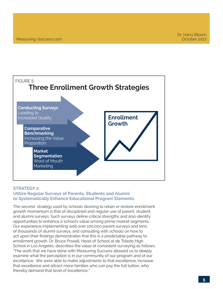

#### **STRATEGY 2:**

### **Utilize Regular Surveys of Parents, Students and Alumni to Systematically Enhance Educational Program Elements**

The second strategy used by schools desiring to retain or restore enrollment growth momentum is that of disciplined and regular use of parent, student, and alumni surveys. Such surveys define critical strengths and also identify opportunities to enhance a school's value among prime market segments. Our experience implementing well over 100,000 parent surveys and tens of thousands of alumni surveys, and consulting with schools on how to act upon their findings demonstrates that this is a predictable pathway to enrollment growth. Dr. Bruce Powell, Head of School at de Toledo High School in Los Angeles, describes the value of consistent surveying as follows. "The work that we have done with Measuring Success allowed us to deeply examine what the perception is in our community of our program and of our excellence. We were able to make adjustments to that excellence, increase that excellence and attract more families who can pay the full tuition, who thereby demand that level of excellence."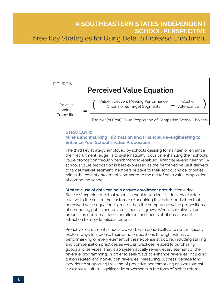

#### **STRATEGY 3: Mine Benchmarking Information and Financial Re-engineering to Enhance Your School's Value Proposition**

The third key strategy employed by schools desiring to maintain or enhance their recruitment "edge" is to systematically focus on enhancing their school's value proposition through benchmarking-enabled "financial re-engineering." A school's value proposition is best expressed as the perceived value it delivers to target market segment members relative to their school choice priorities, minus the cost of enrollment, compared to the net (of cost) value propositions of competing schools.

**Strategic use of data can help ensure enrollment growth.** Measuring Success' experience is that when a school maximizes its delivery of value relative to the cost to the customer of acquiring that value, and when that perceived value equation is greater than the comparable value propositions of competing public and private schools, it grows. When its relative value proposition declines, it loses enrollment and incurs attrition or loses its attraction for new families/students.

Proactive recruitment schools we work with periodically and systematically explore ways to increase their value propositions through extensive benchmarking of every element of their expense structure, including staffing and compensation practices as well as practices related to purchasing goods and services. They also systematically review every element of their revenue programming, in order to seek ways to enhance revenues, including tuition related and non-tuition revenues. Measuring Success' decade long experience supporting this kind of proactive benchmarking analysis almost invariably results in significant improvements in the form of higher returns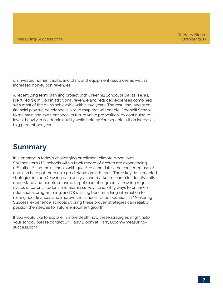on invested human capital and plant and equipment resources as well as increased non-tuition revenues.

A recent long term planning project with Greenhill School of Dallas, Texas, identified \$5 million in additional revenue and reduced expenses combined, with most of the gains achievable within two years. The resulting long term financial plan we developed is a road map that will enable Greenhill School to maintain and even enhance its future value proposition, by continuing to invest heavily in academic quality while holding foreseeable tuition increases to 3 percent per year.

# **Summary**

In summary, in today's challenging enrollment climate, when even Southeastern U.S. schools with a track record of growth are experiencing difficulties filling their schools with qualified candidates, the concerted use of data can help put them on a predictable growth track. Three key data enabled strategies include (1) using data analysis and market research to identify, fully understand and penetrate prime target market segments; (2) using regular cycles of parent, student, and alumni surveys to identify ways to enhance educational programming; and (3) utilizing benchmarking information to re-engineer finances and improve the school's value equation. In Measuring Success' experience, schools utilizing these proven strategies can reliably position themselves for future enrollment growth.

If you would like to explore in more depth how these strategies might help your school, please contact Dr. Harry Bloom at Harry.Bloom@measuringsuccess.com